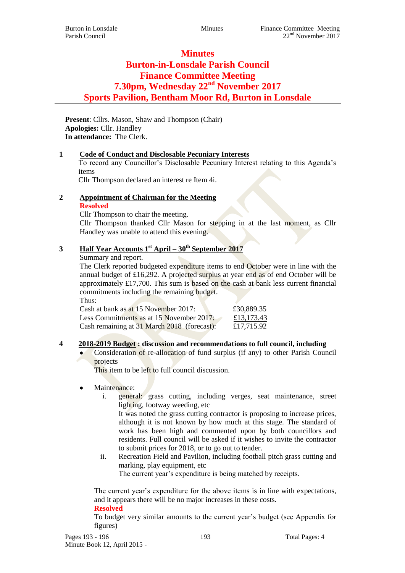# **Minutes Burton-in-Lonsdale Parish Council Finance Committee Meeting 7.30pm, Wednesday 22nd November 2017 Sports Pavilion, Bentham Moor Rd, Burton in Lonsdale**

**Present**: Cllrs. Mason, Shaw and Thompson (Chair) **Apologies:** Cllr. Handley **In attendance:** The Clerk.

### **1 Code of Conduct and Disclosable Pecuniary Interests**

To record any Councillor's Disclosable Pecuniary Interest relating to this Agenda's items

Cllr Thompson declared an interest re Item 4i.

# **2 Appointment of Chairman for the Meeting**

#### **Resolved**

Cllr Thompson to chair the meeting.

Cllr Thompson thanked Cllr Mason for stepping in at the last moment, as Cllr Handley was unable to attend this evening.

# **3 Half Year Accounts 1st April – 30th September 2017**

Summary and report.

The Clerk reported budgeted expenditure items to end October were in line with the annual budget of £16,292. A projected surplus at year end as of end October will be approximately £17,700. This sum is based on the cash at bank less current financial commitments including the remaining budget. Thus:

| <b></b>                                     |            |
|---------------------------------------------|------------|
| Cash at bank as at 15 November 2017:        | £30,889.35 |
| Less Commitments as at 15 November 2017:    | £13,173.43 |
| Cash remaining at 31 March 2018 (forecast): | £17,715.92 |

### **4 2018-2019 Budget : discussion and recommendations to full council, including**

 Consideration of re-allocation of fund surplus (if any) to other Parish Council projects

This item to be left to full council discussion.

- Maintenance:
	- i. general: grass cutting, including verges, seat maintenance, street lighting, footway weeding, etc

It was noted the grass cutting contractor is proposing to increase prices, although it is not known by how much at this stage. The standard of work has been high and commented upon by both councillors and residents. Full council will be asked if it wishes to invite the contractor to submit prices for 2018, or to go out to tender.

ii. Recreation Field and Pavilion, including football pitch grass cutting and marking, play equipment, etc

The current year's expenditure is being matched by receipts.

The current year's expenditure for the above items is in line with expectations, and it appears there will be no major increases in these costs.

#### **Resolved**

To budget very similar amounts to the current year's budget (see Appendix for figures)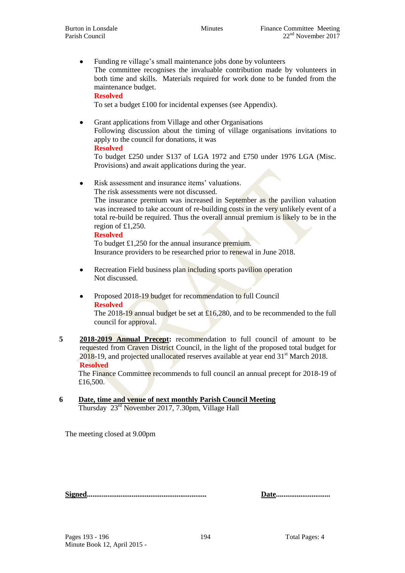Funding re village's small maintenance jobs done by volunteers The committee recognises the invaluable contribution made by volunteers in both time and skills. Materials required for work done to be funded from the maintenance budget.

**Resolved**

To set a budget £100 for incidental expenses (see Appendix).

 Grant applications from Village and other Organisations Following discussion about the timing of village organisations invitations to apply to the council for donations, it was

#### **Resolved**

To budget £250 under S137 of LGA 1972 and £750 under 1976 LGA (Misc. Provisions) and await applications during the year.

• Risk assessment and insurance items' valuations.

The risk assessments were not discussed.

The insurance premium was increased in September as the pavilion valuation was increased to take account of re-building costs in the very unlikely event of a total re-build be required. Thus the overall annual premium is likely to be in the region of £1,250.

#### **Resolved**

To budget £1,250 for the annual insurance premium. Insurance providers to be researched prior to renewal in June 2018.

- Recreation Field business plan including sports pavilion operation Not discussed.
- Proposed 2018-19 budget for recommendation to full Council **Resolved**

The 2018-19 annual budget be set at £16,280, and to be recommended to the full council for approval.

**5 2018-2019 Annual Precept:** recommendation to full council of amount to be requested from Craven District Council, in the light of the proposed total budget for 2018-19, and projected unallocated reserves available at year end 31<sup>st</sup> March 2018. **Resolved**

The Finance Committee recommends to full council an annual precept for 2018-19 of £16,500.

#### **6 Date, time and venue of next monthly Parish Council Meeting** Thursday 23<sup>rd</sup> November 2017, 7.30pm, Village Hall

The meeting closed at 9.00pm

**Signed................................................................ Date.............................**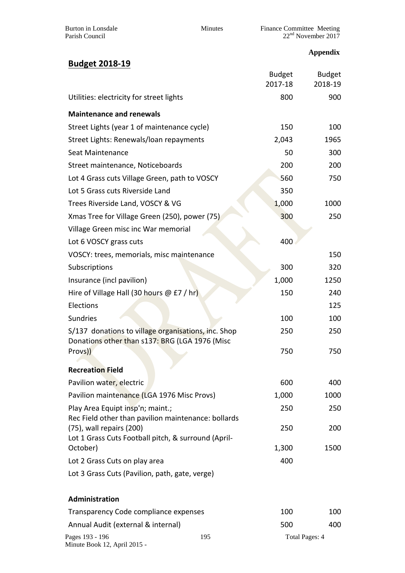| Burton in Lonsdale |
|--------------------|
| Parish Council     |

Burton in Lonsdale **Minutes Minutes** Finance Committee Meeting Parish Council 22<sup>nd</sup> November 2017

# **Appendix**

| <b>Budget 2018-19</b>                                                                                 |                          |                          |
|-------------------------------------------------------------------------------------------------------|--------------------------|--------------------------|
|                                                                                                       | <b>Budget</b><br>2017-18 | <b>Budget</b><br>2018-19 |
| Utilities: electricity for street lights                                                              | 800                      | 900                      |
| <b>Maintenance and renewals</b>                                                                       |                          |                          |
| Street Lights (year 1 of maintenance cycle)                                                           | 150                      | 100                      |
| Street Lights: Renewals/loan repayments                                                               | 2,043                    | 1965                     |
| Seat Maintenance                                                                                      | 50                       | 300                      |
| Street maintenance, Noticeboards                                                                      | 200                      | 200                      |
| Lot 4 Grass cuts Village Green, path to VOSCY                                                         | 560                      | 750                      |
| Lot 5 Grass cuts Riverside Land                                                                       | 350                      |                          |
| Trees Riverside Land, VOSCY & VG                                                                      | 1,000                    | 1000                     |
| Xmas Tree for Village Green (250), power (75)                                                         | 300                      | 250                      |
| Village Green misc inc War memorial                                                                   |                          |                          |
| Lot 6 VOSCY grass cuts                                                                                | 400                      |                          |
| VOSCY: trees, memorials, misc maintenance                                                             |                          | 150                      |
| Subscriptions                                                                                         | 300                      | 320                      |
| Insurance (incl pavilion)                                                                             | 1,000                    | 1250                     |
| Hire of Village Hall (30 hours $@E7$ / hr)                                                            | 150                      | 240                      |
| Elections                                                                                             |                          | 125                      |
| <b>Sundries</b>                                                                                       | 100                      | 100                      |
| S/137 donations to village organisations, inc. Shop<br>Donations other than s137: BRG (LGA 1976 (Misc | 250                      | 250                      |
| Provs))                                                                                               | 750                      | 750                      |
| <b>Recreation Field</b>                                                                               |                          |                          |
| Pavilion water, electric                                                                              | 600                      | 400                      |
| Pavilion maintenance (LGA 1976 Misc Provs)                                                            | 1,000                    | 1000                     |
| Play Area Equipt insp'n; maint.;<br>Rec Field other than pavilion maintenance: bollards               | 250                      | 250                      |
| (75), wall repairs (200)<br>Lot 1 Grass Cuts Football pitch, & surround (April-                       | 250                      | 200                      |
| October)                                                                                              | 1,300                    | 1500                     |
| Lot 2 Grass Cuts on play area                                                                         | 400                      |                          |
| Lot 3 Grass Cuts (Pavilion, path, gate, verge)                                                        |                          |                          |
| Administration                                                                                        |                          |                          |
| Transparency Code compliance expenses                                                                 | 100                      | 100                      |

| Annual Audit (external & internal) |     | 500            | 400 |
|------------------------------------|-----|----------------|-----|
| Pages 193 - 196                    | 195 | Total Pages: 4 |     |
| Minute Book 12, April 2015 -       |     |                |     |